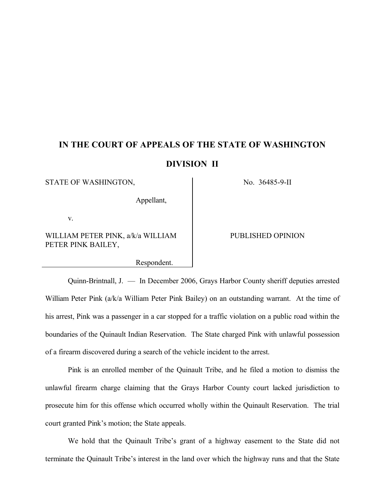## **IN THE COURT OF APPEALS OF THE STATE OF WASHINGTON DIVISION II**

STATE OF WASHINGTON, No. 36485-9-II

Appellant,

v.

WILLIAM PETER PINK, a/k/a WILLIAM PETER PINK BAILEY,

Respondent.

PUBLISHED OPINION

Quinn-Brintnall, J. — In December 2006, Grays Harbor County sheriff deputies arrested William Peter Pink (a/k/a William Peter Pink Bailey) on an outstanding warrant. At the time of his arrest, Pink was a passenger in a car stopped for a traffic violation on a public road within the boundaries of the Quinault Indian Reservation. The State charged Pink with unlawful possession of a firearm discovered during a search of the vehicle incident to the arrest.

Pink is an enrolled member of the Quinault Tribe, and he filed a motion to dismiss the unlawful firearm charge claiming that the Grays Harbor County court lacked jurisdiction to prosecute him for this offense which occurred wholly within the Quinault Reservation. The trial court granted Pink's motion; the State appeals.

We hold that the Quinault Tribe's grant of a highway easement to the State did not terminate the Quinault Tribe's interest in the land over which the highway runs and that the State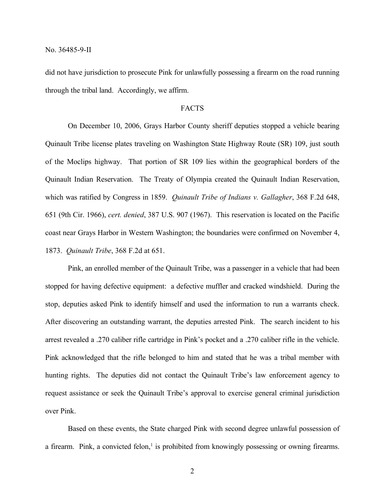did not have jurisdiction to prosecute Pink for unlawfully possessing a firearm on the road running through the tribal land. Accordingly, we affirm.

## FACTS

On December 10, 2006, Grays Harbor County sheriff deputies stopped a vehicle bearing Quinault Tribe license plates traveling on Washington State Highway Route (SR) 109, just south of the Moclips highway. That portion of SR 109 lies within the geographical borders of the Quinault Indian Reservation. The Treaty of Olympia created the Quinault Indian Reservation, which was ratified by Congress in 1859. *Quinault Tribe of Indians v. Gallagher*, 368 F.2d 648, 651 (9th Cir. 1966), *cert. denied*, 387 U.S. 907 (1967). This reservation is located on the Pacific coast near Grays Harbor in Western Washington; the boundaries were confirmed on November 4, 1873. *Quinault Tribe*, 368 F.2d at 651.

Pink, an enrolled member of the Quinault Tribe, was a passenger in a vehicle that had been stopped for having defective equipment: a defective muffler and cracked windshield. During the stop, deputies asked Pink to identify himself and used the information to run a warrants check. After discovering an outstanding warrant, the deputies arrested Pink. The search incident to his arrest revealed a .270 caliber rifle cartridge in Pink's pocket and a .270 caliber rifle in the vehicle. Pink acknowledged that the rifle belonged to him and stated that he was a tribal member with hunting rights. The deputies did not contact the Quinault Tribe's law enforcement agency to request assistance or seek the Quinault Tribe's approval to exercise general criminal jurisdiction over Pink.

Based on these events, the State charged Pink with second degree unlawful possession of a firearm. Pink, a convicted felon, $\frac{1}{1}$  is prohibited from knowingly possessing or owning firearms.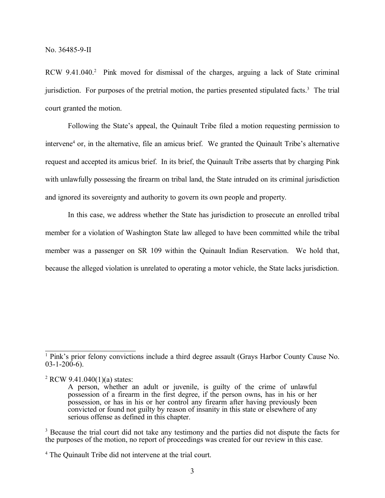RCW 9.41.040.<sup>2</sup> Pink moved for dismissal of the charges, arguing a lack of State criminal jurisdiction. For purposes of the pretrial motion, the parties presented stipulated facts.<sup>3</sup> The trial court granted the motion.

Following the State's appeal, the Quinault Tribe filed a motion requesting permission to intervene<sup>4</sup> or, in the alternative, file an amicus brief. We granted the Quinault Tribe's alternative request and accepted its amicus brief. In its brief, the Quinault Tribe asserts that by charging Pink with unlawfully possessing the firearm on tribal land, the State intruded on its criminal jurisdiction and ignored its sovereignty and authority to govern its own people and property.

In this case, we address whether the State has jurisdiction to prosecute an enrolled tribal member for a violation of Washington State law alleged to have been committed while the tribal member was a passenger on SR 109 within the Quinault Indian Reservation. We hold that, because the alleged violation is unrelated to operating a motor vehicle, the State lacks jurisdiction.

<sup>&</sup>lt;sup>1</sup> Pink's prior felony convictions include a third degree assault (Grays Harbor County Cause No.  $03 - 1 - 200 - 6$ .

<sup>2</sup> RCW 9.41.040(1)(a) states:

A person, whether an adult or juvenile, is guilty of the crime of unlawful possession of a firearm in the first degree, if the person owns, has in his or her possession, or has in his or her control any firearm after having previously been convicted or found not guilty by reason of insanity in this state or elsewhere of any serious offense as defined in this chapter.

<sup>&</sup>lt;sup>3</sup> Because the trial court did not take any testimony and the parties did not dispute the facts for the purposes of the motion, no report of proceedings was created for our review in this case.

<sup>4</sup> The Quinault Tribe did not intervene at the trial court.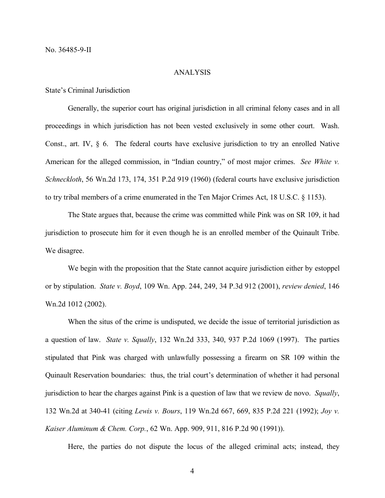## ANALYSIS

State's Criminal Jurisdiction

Generally, the superior court has original jurisdiction in all criminal felony cases and in all proceedings in which jurisdiction has not been vested exclusively in some other court. Wash. Const., art. IV, § 6. The federal courts have exclusive jurisdiction to try an enrolled Native American for the alleged commission, in "Indian country," of most major crimes. *See White v. Schneckloth*, 56 Wn.2d 173, 174, 351 P.2d 919 (1960) (federal courts have exclusive jurisdiction to try tribal members of a crime enumerated in the Ten Major Crimes Act, 18 U.S.C. § 1153).

The State argues that, because the crime was committed while Pink was on SR 109, it had jurisdiction to prosecute him for it even though he is an enrolled member of the Quinault Tribe. We disagree.

We begin with the proposition that the State cannot acquire jurisdiction either by estoppel or by stipulation. *State v. Boyd*, 109 Wn. App. 244, 249, 34 P.3d 912 (2001), *review denied*, 146 Wn.2d 1012 (2002).

When the situs of the crime is undisputed, we decide the issue of territorial jurisdiction as a question of law. *State v. Squally*, 132 Wn.2d 333, 340, 937 P.2d 1069 (1997). The parties stipulated that Pink was charged with unlawfully possessing a firearm on SR 109 within the Quinault Reservation boundaries: thus, the trial court's determination of whether it had personal jurisdiction to hear the charges against Pink is a question of law that we review de novo. *Squally*, 132 Wn.2d at 340-41 (citing *Lewis v. Bours*, 119 Wn.2d 667, 669, 835 P.2d 221 (1992); *Joy v. Kaiser Aluminum & Chem. Corp.*, 62 Wn. App. 909, 911, 816 P.2d 90 (1991)).

Here, the parties do not dispute the locus of the alleged criminal acts; instead, they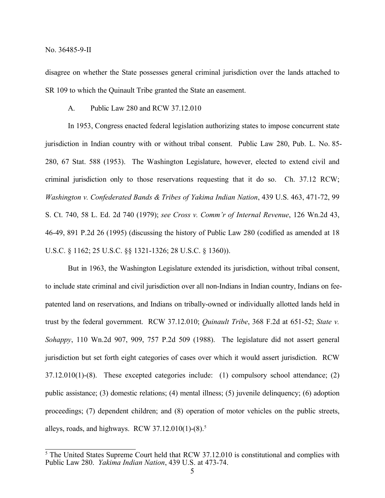disagree on whether the State possesses general criminal jurisdiction over the lands attached to SR 109 to which the Quinault Tribe granted the State an easement.

A. Public Law 280 and RCW 37.12.010

In 1953, Congress enacted federal legislation authorizing states to impose concurrent state jurisdiction in Indian country with or without tribal consent. Public Law 280, Pub. L. No. 85- 280, 67 Stat. 588 (1953). The Washington Legislature, however, elected to extend civil and criminal jurisdiction only to those reservations requesting that it do so. Ch. 37.12 RCW; *Washington v. Confederated Bands & Tribes of Yakima Indian Nation*, 439 U.S. 463, 471-72, 99 S. Ct. 740, 58 L. Ed. 2d 740 (1979); *see Cross v. Comm'r of Internal Revenue*, 126 Wn.2d 43, 46-49, 891 P.2d 26 (1995) (discussing the history of Public Law 280 (codified as amended at 18 U.S.C. § 1162; 25 U.S.C. §§ 1321-1326; 28 U.S.C. § 1360)).

But in 1963, the Washington Legislature extended its jurisdiction, without tribal consent, to include state criminal and civil jurisdiction over all non-Indians in Indian country, Indians on feepatented land on reservations, and Indians on tribally-owned or individually allotted lands held in trust by the federal government. RCW 37.12.010; *Quinault Tribe*, 368 F.2d at 651-52; *State v. Sohappy*, 110 Wn.2d 907, 909, 757 P.2d 509 (1988). The legislature did not assert general jurisdiction but set forth eight categories of cases over which it would assert jurisdiction. RCW 37.12.010(1)-(8). These excepted categories include: (1) compulsory school attendance; (2) public assistance; (3) domestic relations; (4) mental illness; (5) juvenile delinquency; (6) adoption proceedings; (7) dependent children; and (8) operation of motor vehicles on the public streets, alleys, roads, and highways. RCW  $37.12.010(1)$ -(8).<sup>5</sup>

<sup>&</sup>lt;sup>5</sup> The United States Supreme Court held that RCW 37.12.010 is constitutional and complies with Public Law 280. *Yakima Indian Nation*, 439 U.S. at 473-74.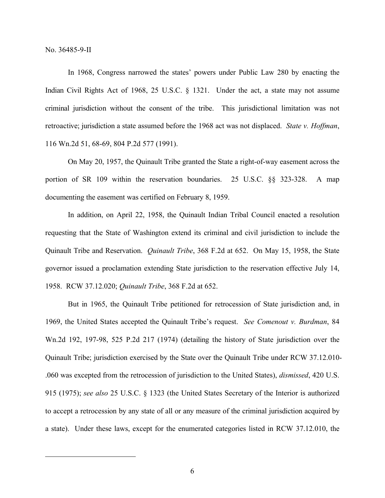In 1968, Congress narrowed the states' powers under Public Law 280 by enacting the Indian Civil Rights Act of 1968, 25 U.S.C. § 1321. Under the act, a state may not assume criminal jurisdiction without the consent of the tribe. This jurisdictional limitation was not retroactive; jurisdiction a state assumed before the 1968 act was not displaced. *State v. Hoffman*, 116 Wn.2d 51, 68-69, 804 P.2d 577 (1991).

On May 20, 1957, the Quinault Tribe granted the State a right-of-way easement across the portion of SR 109 within the reservation boundaries. 25 U.S.C. §§ 323-328. A map documenting the easement was certified on February 8, 1959.

In addition, on April 22, 1958, the Quinault Indian Tribal Council enacted a resolution requesting that the State of Washington extend its criminal and civil jurisdiction to include the Quinault Tribe and Reservation. *Quinault Tribe*, 368 F.2d at 652. On May 15, 1958, the State governor issued a proclamation extending State jurisdiction to the reservation effective July 14, 1958. RCW 37.12.020; *Quinault Tribe*, 368 F.2d at 652.

But in 1965, the Quinault Tribe petitioned for retrocession of State jurisdiction and, in 1969, the United States accepted the Quinault Tribe's request. *See Comenout v. Burdman*, 84 Wn.2d 192, 197-98, 525 P.2d 217 (1974) (detailing the history of State jurisdiction over the Quinault Tribe; jurisdiction exercised by the State over the Quinault Tribe under RCW 37.12.010- .060 was excepted from the retrocession of jurisdiction to the United States), *dismissed*, 420 U.S. 915 (1975); *see also* 25 U.S.C. § 1323 (the United States Secretary of the Interior is authorized to accept a retrocession by any state of all or any measure of the criminal jurisdiction acquired by a state). Under these laws, except for the enumerated categories listed in RCW 37.12.010, the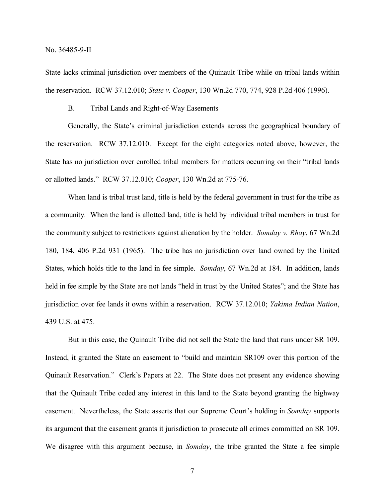State lacks criminal jurisdiction over members of the Quinault Tribe while on tribal lands within the reservation. RCW 37.12.010; *State v. Cooper*, 130 Wn.2d 770, 774, 928 P.2d 406 (1996).

B. Tribal Lands and Right-of-Way Easements

Generally, the State's criminal jurisdiction extends across the geographical boundary of the reservation. RCW 37.12.010. Except for the eight categories noted above, however, the State has no jurisdiction over enrolled tribal members for matters occurring on their "tribal lands or allotted lands." RCW 37.12.010; *Cooper*, 130 Wn.2d at 775-76.

When land is tribal trust land, title is held by the federal government in trust for the tribe as a community. When the land is allotted land, title is held by individual tribal members in trust for the community subject to restrictions against alienation by the holder. *Somday v. Rhay*, 67 Wn.2d 180, 184, 406 P.2d 931 (1965). The tribe has no jurisdiction over land owned by the United States, which holds title to the land in fee simple. *Somday*, 67 Wn.2d at 184. In addition, lands held in fee simple by the State are not lands "held in trust by the United States"; and the State has jurisdiction over fee lands it owns within a reservation. RCW 37.12.010; *Yakima Indian Nation*, 439 U.S. at 475.

But in this case, the Quinault Tribe did not sell the State the land that runs under SR 109. Instead, it granted the State an easement to "build and maintain SR109 over this portion of the Quinault Reservation." Clerk's Papers at 22. The State does not present any evidence showing that the Quinault Tribe ceded any interest in this land to the State beyond granting the highway easement. Nevertheless, the State asserts that our Supreme Court's holding in *Somday* supports its argument that the easement grants it jurisdiction to prosecute all crimes committed on SR 109. We disagree with this argument because, in *Somday*, the tribe granted the State a fee simple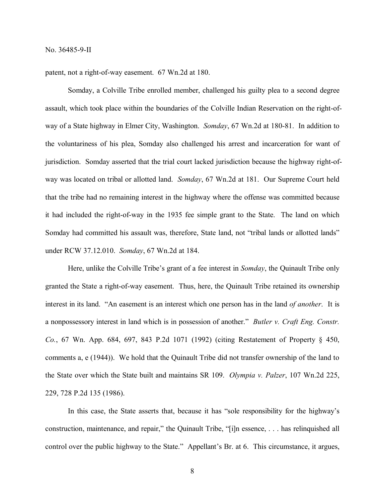patent, not a right-of-way easement. 67 Wn.2d at 180.

Somday, a Colville Tribe enrolled member, challenged his guilty plea to a second degree assault, which took place within the boundaries of the Colville Indian Reservation on the right-ofway of a State highway in Elmer City, Washington. *Somday*, 67 Wn.2d at 180-81. In addition to the voluntariness of his plea, Somday also challenged his arrest and incarceration for want of jurisdiction. Somday asserted that the trial court lacked jurisdiction because the highway right-ofway was located on tribal or allotted land. *Somday*, 67 Wn.2d at 181. Our Supreme Court held that the tribe had no remaining interest in the highway where the offense was committed because it had included the right-of-way in the 1935 fee simple grant to the State. The land on which Somday had committed his assault was, therefore, State land, not "tribal lands or allotted lands" under RCW 37.12.010. *Somday*, 67 Wn.2d at 184.

Here, unlike the Colville Tribe's grant of a fee interest in *Somday*, the Quinault Tribe only granted the State a right-of-way easement. Thus, here, the Quinault Tribe retained its ownership interest in its land. "An easement is an interest which one person has in the land *of another*. It is a nonpossessory interest in land which is in possession of another." *Butler v. Craft Eng. Constr. Co.*, 67 Wn. App. 684, 697, 843 P.2d 1071 (1992) (citing Restatement of Property § 450, comments a, e (1944)). We hold that the Quinault Tribe did not transfer ownership of the land to the State over which the State built and maintains SR 109. *Olympia v. Palzer*, 107 Wn.2d 225, 229, 728 P.2d 135 (1986).

In this case, the State asserts that, because it has "sole responsibility for the highway's construction, maintenance, and repair," the Quinault Tribe, "[i]n essence, . . . has relinquished all control over the public highway to the State." Appellant's Br. at 6. This circumstance, it argues,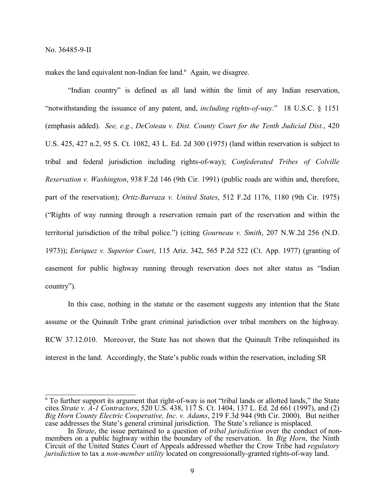makes the land equivalent non-Indian fee land.<sup>6</sup> Again, we disagree.

"Indian country" is defined as all land within the limit of any Indian reservation, "notwithstanding the issuance of any patent, and, *including rights-of-way*." 18 U.S.C. § 1151 (emphasis added). *See, e.g.*, *DeCoteau v. Dist. County Court for the Tenth Judicial Dist.*, 420 U.S. 425, 427 n.2, 95 S. Ct. 1082, 43 L. Ed. 2d 300 (1975) (land within reservation is subject to tribal and federal jurisdiction including rights-of-way); *Confederated Tribes of Colville Reservation v. Washington*, 938 F.2d 146 (9th Cir. 1991) (public roads are within and, therefore, part of the reservation); *Ortiz-Barraza v. United States*, 512 F.2d 1176, 1180 (9th Cir. 1975) ("Rights of way running through a reservation remain part of the reservation and within the territorial jurisdiction of the tribal police.") (citing *Gourneau v. Smith*, 207 N.W.2d 256 (N.D. 1973)); *Enriquez v. Superior Court*, 115 Ariz. 342, 565 P.2d 522 (Ct. App. 1977) (granting of easement for public highway running through reservation does not alter status as "Indian country").

In this case, nothing in the statute or the easement suggests any intention that the State assume or the Quinault Tribe grant criminal jurisdiction over tribal members on the highway. RCW 37.12.010. Moreover, the State has not shown that the Quinault Tribe relinquished its interest in the land. Accordingly, the State's public roads within the reservation, including SR

<sup>6</sup> To further support its argument that right-of-way is not "tribal lands or allotted lands," the State cites *Strate v. A-1 Contractors*, 520 U.S. 438, 117 S. Ct. 1404, 137 L. Ed. 2d 661 (1997), and (2) *Big Horn County Electric Cooperative, Inc. v. Adams*, 219 F.3d 944 (9th Cir. 2000). But neither case addresses the State's general criminal jurisdiction. The State's reliance is misplaced.

In *Strate*, the issue pertained to a question of *tribal jurisdiction* over the conduct of nonmembers on a public highway within the boundary of the reservation. In *Big Horn*, the Ninth Circuit of the United States Court of Appeals addressed whether the Crow Tribe had *regulatory jurisdiction* to tax a *non-member utility* located on congressionally-granted rights-of-way land.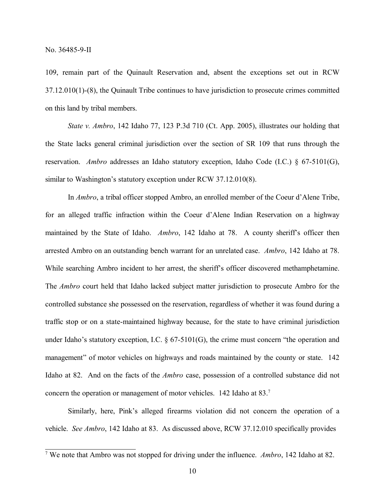109, remain part of the Quinault Reservation and, absent the exceptions set out in RCW 37.12.010(1)-(8), the Quinault Tribe continues to have jurisdiction to prosecute crimes committed on this land by tribal members.

*State v. Ambro*, 142 Idaho 77, 123 P.3d 710 (Ct. App. 2005), illustrates our holding that the State lacks general criminal jurisdiction over the section of SR 109 that runs through the reservation. *Ambro* addresses an Idaho statutory exception, Idaho Code (I.C.) § 67-5101(G), similar to Washington's statutory exception under RCW 37.12.010(8).

In *Ambro*, a tribal officer stopped Ambro, an enrolled member of the Coeur d'Alene Tribe, for an alleged traffic infraction within the Coeur d'Alene Indian Reservation on a highway maintained by the State of Idaho. *Ambro*, 142 Idaho at 78. A county sheriff's officer then arrested Ambro on an outstanding bench warrant for an unrelated case. *Ambro*, 142 Idaho at 78. While searching Ambro incident to her arrest, the sheriff's officer discovered methamphetamine. The *Ambro* court held that Idaho lacked subject matter jurisdiction to prosecute Ambro for the controlled substance she possessed on the reservation, regardless of whether it was found during a traffic stop or on a state-maintained highway because, for the state to have criminal jurisdiction under Idaho's statutory exception, I.C. § 67-5101(G), the crime must concern "the operation and management" of motor vehicles on highways and roads maintained by the county or state. 142 Idaho at 82. And on the facts of the *Ambro* case, possession of a controlled substance did not concern the operation or management of motor vehicles. 142 Idaho at 83. 7

Similarly, here, Pink's alleged firearms violation did not concern the operation of a vehicle. *See Ambro*, 142 Idaho at 83. As discussed above, RCW 37.12.010 specifically provides

<sup>7</sup> We note that Ambro was not stopped for driving under the influence. *Ambro*, 142 Idaho at 82.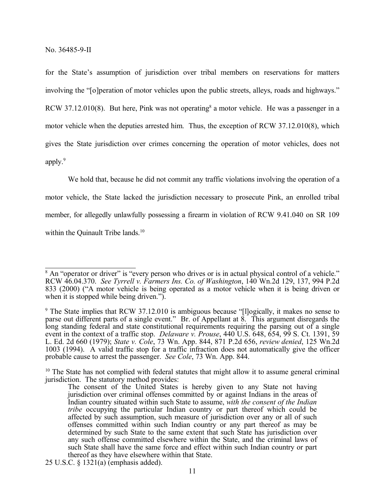for the State's assumption of jurisdiction over tribal members on reservations for matters involving the "[o]peration of motor vehicles upon the public streets, alleys, roads and highways." RCW 37.12.010(8). But here, Pink was not operating<sup>8</sup> a motor vehicle. He was a passenger in a motor vehicle when the deputies arrested him. Thus, the exception of RCW 37.12.010(8), which gives the State jurisdiction over crimes concerning the operation of motor vehicles, does not apply.<sup>9</sup>

We hold that, because he did not commit any traffic violations involving the operation of a motor vehicle, the State lacked the jurisdiction necessary to prosecute Pink, an enrolled tribal member, for allegedly unlawfully possessing a firearm in violation of RCW 9.41.040 on SR 109 within the Quinault Tribe lands.<sup>10</sup>

<sup>&</sup>lt;sup>8</sup> An "operator or driver" is "every person who drives or is in actual physical control of a vehicle." RCW 46.04.370. *See Tyrrell v. Farmers Ins. Co. of Washington*, 140 Wn.2d 129, 137, 994 P.2d 833 (2000) ("A motor vehicle is being operated as a motor vehicle when it is being driven or when it is stopped while being driven.").

<sup>&</sup>lt;sup>9</sup> The State implies that RCW 37.12.010 is ambiguous because "[l]ogically, it makes no sense to parse out different parts of a single event." Br. of Appellant at 8. This argument disregards the long standing federal and state constitutional requirements requiring the parsing out of a single event in the context of a traffic stop. *Delaware v. Prouse*, 440 U.S. 648, 654, 99 S. Ct. 1391, 59 L. Ed. 2d 660 (1979); *State v. Cole*, 73 Wn. App. 844, 871 P.2d 656, *review denied*, 125 Wn.2d 1003 (1994). A valid traffic stop for a traffic infraction does not automatically give the officer probable cause to arrest the passenger. *See Cole*, 73 Wn. App. 844.

<sup>&</sup>lt;sup>10</sup> The State has not complied with federal statutes that might allow it to assume general criminal jurisdiction. The statutory method provides:

The consent of the United States is hereby given to any State not having jurisdiction over criminal offenses committed by or against Indians in the areas of Indian country situated within such State to assume, *with the consent of the Indian tribe* occupying the particular Indian country or part thereof which could be affected by such assumption, such measure of jurisdiction over any or all of such offenses committed within such Indian country or any part thereof as may be determined by such State to the same extent that such State has jurisdiction over any such offense committed elsewhere within the State, and the criminal laws of such State shall have the same force and effect within such Indian country or part thereof as they have elsewhere within that State.

<sup>25</sup> U.S.C. § 1321(a) (emphasis added).